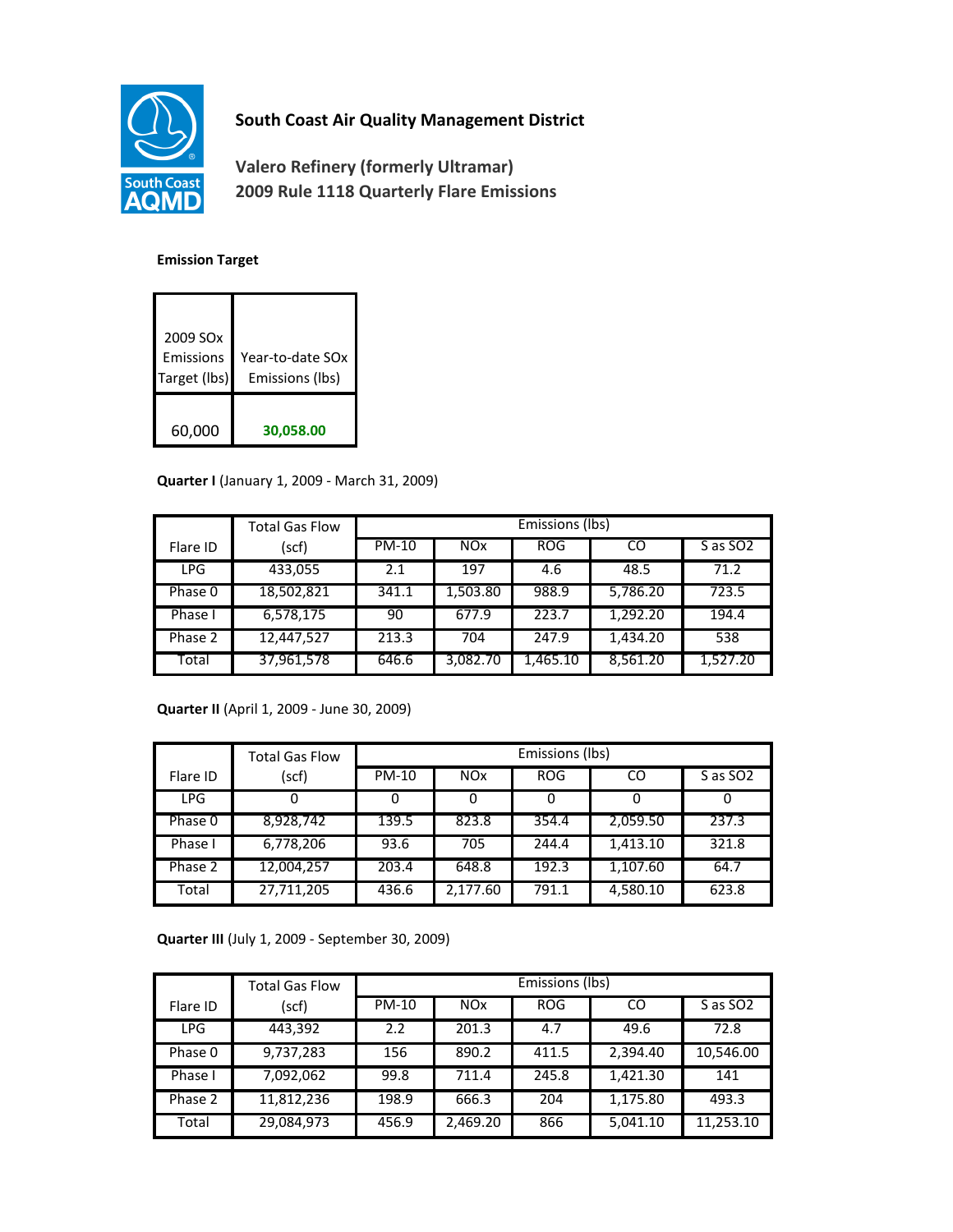

## **South Coast Air Quality Management District**

**Valero Refinery (formerly Ultramar) 2009 Rule 1118 Quarterly Flare Emissions**

## **Emission Target**

| 2009 SO <sub>x</sub><br>Emissions<br>Target (lbs) | Year-to-date SOx<br>Emissions (lbs) |
|---------------------------------------------------|-------------------------------------|
| 60,000                                            | 30,058.00                           |

## **Quarter I** (January 1, 2009 - March 31, 2009)

|            | <b>Total Gas Flow</b> | Emissions (lbs) |            |            |          |                      |
|------------|-----------------------|-----------------|------------|------------|----------|----------------------|
| Flare ID   | (scf)                 | $PM-10$         | <b>NOx</b> | <b>ROG</b> | CO       | S as SO <sub>2</sub> |
| <b>LPG</b> | 433,055               | 2.1             | 197        | 4.6        | 48.5     | 71.2                 |
| Phase 0    | 18,502,821            | 341.1           | 1,503.80   | 988.9      | 5,786.20 | 723.5                |
| Phase I    | 6,578,175             | 90              | 677.9      | 223.7      | 1,292.20 | 194.4                |
| Phase 2    | 12,447,527            | 213.3           | 704        | 247.9      | 1,434.20 | 538                  |
| Total      | 37,961,578            | 646.6           | 3,082.70   | 1,465.10   | 8,561.20 | 1,527.20             |

**Quarter II** (April 1, 2009 - June 30, 2009)

|            | <b>Total Gas Flow</b> | Emissions (lbs) |            |            |          |                      |
|------------|-----------------------|-----------------|------------|------------|----------|----------------------|
| Flare ID   | (scf)                 | <b>PM-10</b>    | <b>NOx</b> | <b>ROG</b> | CO       | S as SO <sub>2</sub> |
| <b>LPG</b> |                       |                 |            | 0          | 0        |                      |
| Phase 0    | 8,928,742             | 139.5           | 823.8      | 354.4      | 2,059.50 | 237.3                |
| Phase I    | 6,778,206             | 93.6            | 705        | 244.4      | 1,413.10 | 321.8                |
| Phase 2    | 12,004,257            | 203.4           | 648.8      | 192.3      | 1,107.60 | 64.7                 |
| Total      | 27,711,205            | 436.6           | 2,177.60   | 791.1      | 4,580.10 | 623.8                |

**Quarter III** (July 1, 2009 - September 30, 2009)

|            | <b>Total Gas Flow</b> | Emissions (lbs) |            |            |          |                      |
|------------|-----------------------|-----------------|------------|------------|----------|----------------------|
| Flare ID   | (scf)                 | <b>PM-10</b>    | <b>NOx</b> | <b>ROG</b> | CO       | S as SO <sub>2</sub> |
| <b>LPG</b> | 443,392               | 2.2             | 201.3      | 4.7        | 49.6     | 72.8                 |
| Phase 0    | 9,737,283             | 156             | 890.2      | 411.5      | 2,394.40 | 10,546.00            |
| Phase I    | 7,092,062             | 99.8            | 711.4      | 245.8      | 1,421.30 | 141                  |
| Phase 2    | 11,812,236            | 198.9           | 666.3      | 204        | 1,175.80 | 493.3                |
| Total      | 29,084,973            | 456.9           | 2,469.20   | 866        | 5.041.10 | 11,253.10            |